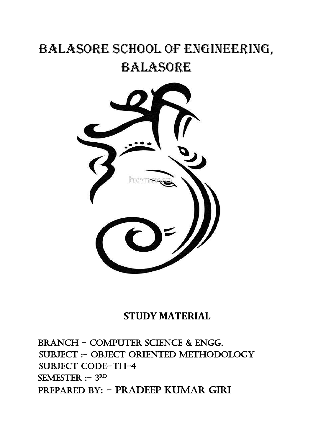# BALASORE SCHOOL OF ENGINEERING, BALASORE



# **STUDY MATERIAL**

BRANCH – Computer science & Engg. SUBJECT :- OBJECT ORIENTED METHODOLOGY SUBJECT CODE-TH-4 SEMESTER :- 3RD PREPARED BY: - Pradeep Kumar giri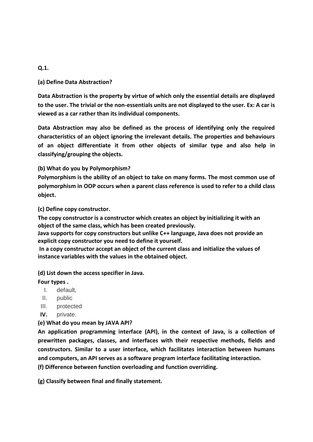#### **Q.1.**

#### **(a) Define Data Abstraction?**

**Data Abstraction is the property by virtue of which only the essential details are displayed to the user. The trivial or the non-essentials units are not displayed to the user. Ex: A car is viewed as a car rather than its individual components.**

**Data Abstraction may also be defined as the process of identifying only the required characteristics of an object ignoring the irrelevant details. The properties and behaviours of an object differentiate it from other objects of similar type and also help in classifying/grouping the objects.**

#### **(b) What do you by Polymorphism?**

**Polymorphism is the ability of an object to take on many forms. The most common use of polymorphism in OOP occurs when a parent class reference is used to refer to a child class object.**

#### **(c) Define copy constructor.**

**The copy constructor is a constructor which creates an object by initializing it with an object of the same class, which has been created previously.**

**Java supports for copy constructors but unlike C++ language, Java does not provide an explicit copy constructor you need to define it yourself.**

**In a copy constructor accept an object of the current class and initialize the values of instance variables with the values in the obtained object.**

#### **(d) List down the access specifier in Java.**

#### **Four types .**

- I. default,
- II. public
- III. protected
- **IV.** private.

### **(e) What do you mean by JAVA API?**

**An application programming interface (API), in the context of Java, is a collection of prewritten packages, classes, and interfaces with their respective methods, fields and constructors. Similar to a user interface, which facilitates interaction between humans and computers, an API serves as a software program interface facilitating interaction. (f) Difference between function overloading and function overriding.**

**(g) Classify between final and finally statement.**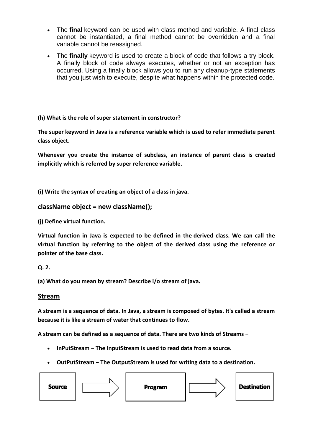- The **final** keyword can be used with class method and variable. A final class cannot be instantiated, a final method cannot be overridden and a final variable cannot be reassigned.
- The **finally** keyword is used to create a block of code that follows a try block. A finally block of code always executes, whether or not an exception has occurred. Using a finally block allows you to run any cleanup-type statements that you just wish to execute, despite what happens within the protected code.

### **(h) What is the role of super statement in constructor?**

**The super keyword in Java is a reference variable which is used to refer immediate parent class object.**

**Whenever you create the instance of subclass, an instance of parent class is created implicitly which is referred by super reference variable.**

**(i) Write the syntax of creating an object of a class in java.**

### **className object = new className();**

**(j) Define virtual function.**

**Virtual function in Java is expected to be defined in the derived class. We can call the virtual function by referring to the object of the derived class using the reference or pointer of the base class.**

#### **Q. 2.**

**(a) What do you mean by stream? Describe i/o stream of java.**

#### **Stream**

**A stream is a sequence of data. In Java, a stream is composed of bytes. It's called a stream because it is like a stream of water that continues to flow.**

**A stream can be defined as a sequence of data. There are two kinds of Streams −**

- **InPutStream − The InputStream is used to read data from a source.**
- **OutPutStream − The OutputStream is used for writing data to a destination.**

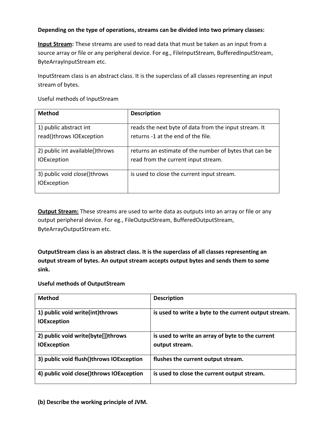#### **Depending on the type of operations, streams can be divided into two primary classes:**

**Input Stream:** These streams are used to read data that must be taken as an input from a source array or file or any peripheral device. For eg., FileInputStream, BufferedInputStream, ByteArrayInputStream etc.

InputStream class is an abstract class. It is the superclass of all classes representing an input stream of bytes.

Useful methods of InputStream

| <b>Method</b>                   | <b>Description</b>                                     |
|---------------------------------|--------------------------------------------------------|
|                                 |                                                        |
| 1) public abstract int          | reads the next byte of data from the input stream. It  |
| read()throws IOException        | returns -1 at the end of the file.                     |
|                                 |                                                        |
| 2) public int available()throws | returns an estimate of the number of bytes that can be |
| <b>IOException</b>              | read from the current input stream.                    |
|                                 |                                                        |
| 3) public void close()throws    | is used to close the current input stream.             |
| <b>IOException</b>              |                                                        |
|                                 |                                                        |

**Output Stream:** These streams are used to write data as outputs into an array or file or any output peripheral device. For eg., FileOutputStream, BufferedOutputStream, ByteArrayOutputStream etc.

**OutputStream class is an abstract class. It is the superclass of all classes representing an output stream of bytes. An output stream accepts output bytes and sends them to some sink.**

**Useful methods of OutputStream**

| <b>Method</b>                                            | <b>Description</b>                                                 |
|----------------------------------------------------------|--------------------------------------------------------------------|
| 1) public void write(int)throws<br><b>IOException</b>    | is used to write a byte to the current output stream.              |
| 2) public void write(byte[])throws<br><b>IOException</b> | is used to write an array of byte to the current<br>output stream. |
| 3) public void flush()throws IOException                 | flushes the current output stream.                                 |
| 4) public void close()throws IOException                 | is used to close the current output stream.                        |

**(b) Describe the working principle of JVM.**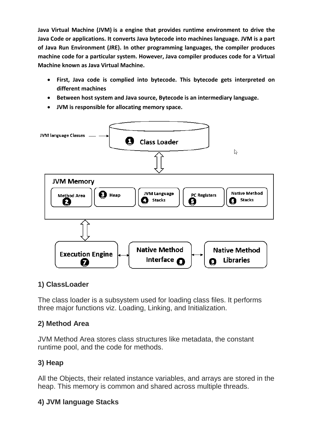**Java Virtual Machine (JVM) is a engine that provides runtime environment to drive the Java Code or applications. It converts Java bytecode into machines language. JVM is a part of Java Run Environment (JRE). In other programming languages, the compiler produces machine code for a particular system. However, Java compiler produces code for a Virtual Machine known as Java Virtual Machine.**

- **First, Java code is complied into bytecode. This bytecode gets interpreted on different machines**
- **Between host system and Java source, Bytecode is an intermediary language.**
- **JVM is responsible for allocating memory space.**



# **1) ClassLoader**

The class loader is a subsystem used for loading class files. It performs three major functions viz. Loading, Linking, and Initialization.

# **2) Method Area**

JVM Method Area stores class structures like metadata, the constant runtime pool, and the code for methods.

# **3) Heap**

All the Objects, their related instance variables, and arrays are stored in the heap. This memory is common and shared across multiple threads.

# **4) JVM language Stacks**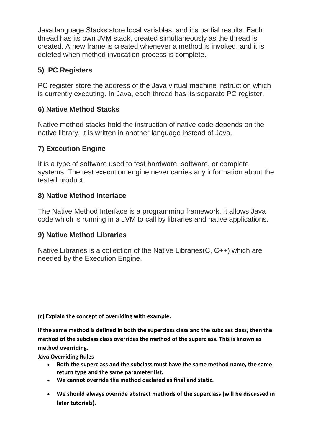Java language Stacks store local variables, and it's partial results. Each thread has its own JVM stack, created simultaneously as the thread is created. A new frame is created whenever a method is invoked, and it is deleted when method invocation process is complete.

# **5) PC Registers**

PC register store the address of the Java virtual machine instruction which is currently executing. In Java, each thread has its separate PC register.

# **6) Native Method Stacks**

Native method stacks hold the instruction of native code depends on the native library. It is written in another language instead of Java.

# **7) Execution Engine**

It is a type of software used to test hardware, software, or complete systems. The test execution engine never carries any information about the tested product.

# **8) Native Method interface**

The Native Method Interface is a programming framework. It allows Java code which is running in a JVM to call by libraries and native applications.

# **9) Native Method Libraries**

Native Libraries is a collection of the Native Libraries(C, C++) which are needed by the Execution Engine.

**(c) Explain the concept of overriding with example.**

**If the same method is defined in both the superclass class and the subclass class, then the method of the subclass class overrides the method of the superclass. This is known as method overriding.**

**Java Overriding Rules**

- **Both the superclass and the subclass must have the same method name, the same return type and the same parameter list.**
- **We cannot override the method declared as final and static.**
- **We should always override abstract methods of the superclass (will be discussed in later tutorials).**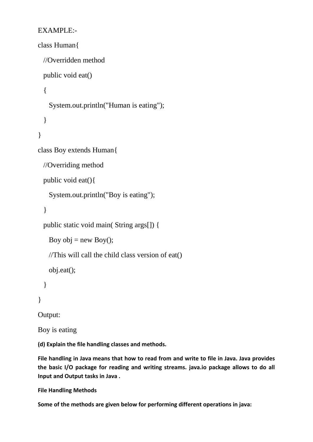# EXAMPLE:-

```
class Human{
  //Overridden method
  public void eat()
   {
    System.out.println("Human is eating");
   }
}
class Boy extends Human{
  //Overriding method
  public void eat(){
    System.out.println("Boy is eating");
   }
  public static void main( String args[]) {
   Boy obj = new Boy();
    //This will call the child class version of eat()
    obj.eat();
   }
}
```
Output:

Boy is eating

**(d) Explain the file handling classes and methods.**

**File handling in Java means that how to read from and write to file in Java. Java provides the basic I/O package for reading and writing streams. java.io package allows to do all Input and Output tasks in Java .**

**File Handling Methods**

**Some of the methods are given below for performing different operations in java:**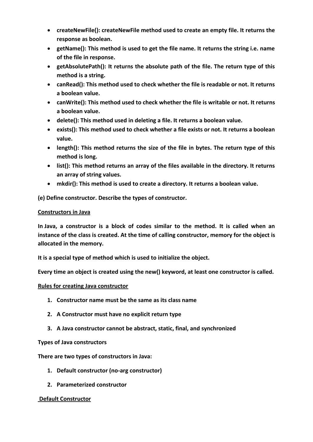- **createNewFile(): createNewFile method used to create an empty file. It returns the response as boolean.**
- **getName(): This method is used to get the file name. It returns the string i.e. name of the file in response.**
- **getAbsolutePath(): It returns the absolute path of the file. The return type of this method is a string.**
- **canRead(): This method used to check whether the file is readable or not. It returns a boolean value.**
- **canWrite(): This method used to check whether the file is writable or not. It returns a boolean value.**
- **delete(): This method used in deleting a file. It returns a boolean value.**
- **exists(): This method used to check whether a file exists or not. It returns a boolean value.**
- **length(): This method returns the size of the file in bytes. The return type of this method is long.**
- **list(): This method returns an array of the files available in the directory. It returns an array of string values.**
- **mkdir(): This method is used to create a directory. It returns a boolean value.**

**(e) Define constructor. Describe the types of constructor.**

#### **Constructors in Java**

**In Java, a constructor is a block of codes similar to the method. It is called when an instance of the class is created. At the time of calling constructor, memory for the object is allocated in the memory.**

**It is a special type of method which is used to initialize the object.**

**Every time an object is created using the new() keyword, at least one constructor is called.**

#### **Rules for creating Java constructor**

- **1. Constructor name must be the same as its class name**
- **2. A Constructor must have no explicit return type**
- **3. A Java constructor cannot be abstract, static, final, and synchronized**

#### **Types of Java constructors**

**There are two types of constructors in Java:**

- **1. Default constructor (no-arg constructor)**
- **2. Parameterized constructor**

#### **Default Constructor**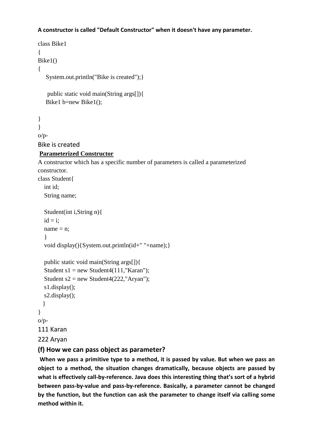#### **A constructor is called "Default Constructor" when it doesn't have any parameter.**

```
class Bike1
{
Bike1()
{
    System.out.println("Bike is created");}
    public static void main(String args[]){
   Bike1 b=new Bike1();
}
}
O/D-
Bike is created
Parameterized Constructor
A constructor which has a specific number of parameters is called a parameterized 
constructor.
class Student{
   int id;
   String name;
   Student(int i,String n){
  id = i;
  name = n:
   }
   void display(){System.out.println(id+" "+name);}
   public static void main(String args[]){
  Student s1 = new Student4(111, "Karan");
  Student s2 = new Student4(222,"Aryan");
   s1.display();
   s2.display();
   }
}
o/p-
111 Karan
222 Aryan
```
#### **(f) How we can pass object as parameter?**

**When we pass a primitive type to a method, it is passed by value. But when we pass an object to a method, the situation changes dramatically, because objects are passed by what is effectively call-by-reference. Java does this interesting thing that's sort of a hybrid between pass-by-value and pass-by-reference. Basically, a parameter cannot be changed by the function, but the function can ask the parameter to change itself via calling some method within it.**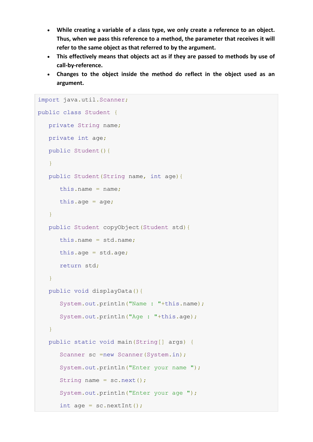- **While creating a variable of a class type, we only create a reference to an object. Thus, when we pass this reference to a method, the parameter that receives it will refer to the same object as that referred to by the argument.**
- **This effectively means that objects act as if they are passed to methods by use of call-by-reference.**
- **Changes to the object inside the method do reflect in the object used as an argument.**

```
import java.util.Scanner;
public class Student {
   private String name;
   private int age;
  public Student(){
   }
   public Student(String name, int age){
     this.name = name;
     this.age = age;
   }
   public Student copyObject(Student std){
      this.name = std.name;
     this.age = std.age;return std;
   }
   public void displayData(){
      System.out.println("Name : "+this.name);
      System.out.println("Age : "+this.age);
   }
   public static void main(String[] args) {
      Scanner sc =new Scanner(System.in);
      System.out.println("Enter your name ");
      String name = sc.next();
      System.out.println("Enter your age ");
      int age = sc.nextInt();
```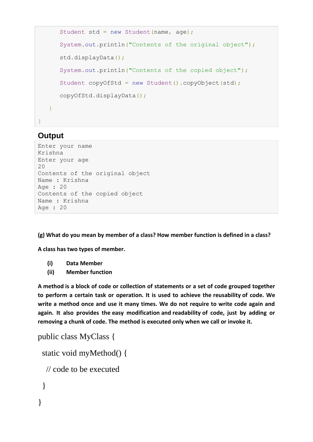```
Student std = new Student (name, age);
      System.out.println("Contents of the original object");
      std.displayData();
      System.out.println("Contents of the copied object");
      Student copyOfStd = new Student().copyObject(std);
      copyOfStd.displayData();
   }
}
```
# **Output**

```
Enter your name
Krishna
Enter your age
20
Contents of the original object
Name : Krishna
Age : 20
Contents of the copied object
Name : Krishna
Age : 20
```
**(g) What do you mean by member of a class? How member function is defined in a class?**

**A class has two types of member.**

- **(i) Data Member**
- **(ii) Member function**

**A method is a block of code or collection of statements or a set of code grouped together to perform a certain task or operation. It is used to achieve the reusability of code. We write a method once and use it many times. We do not require to write code again and again. It also provides the easy modification and readability of code, just by adding or removing a chunk of code. The method is executed only when we call or invoke it.**

```
public class MyClass {
  static void myMethod() {
   // code to be executed
  }
}
```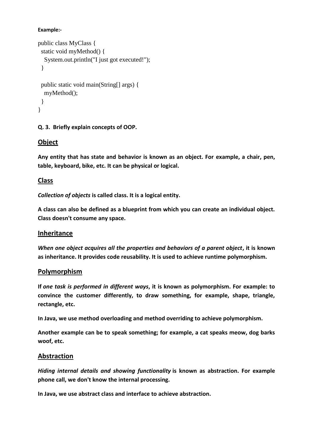#### **Example:-**

```
public class MyClass {
  static void myMethod() {
   System.out.println("I just got executed!");
  }
  public static void main(String[] args) {
   myMethod();
  }
}
```
#### **Q. 3. Briefly explain concepts of OOP.**

## **Object**

**Any entity that has state and behavior is known as an object. For example, a chair, pen, table, keyboard, bike, etc. It can be physical or logical.**

## **Class**

*Collection of objects* **is called class. It is a logical entity.**

**A class can also be defined as a blueprint from which you can create an individual object. Class doesn't consume any space.**

### **Inheritance**

*When one object acquires all the properties and behaviors of a parent object***, it is known as inheritance. It provides code reusability. It is used to achieve runtime polymorphism.**

#### **Polymorphism**

**If** *one task is performed in different ways***, it is known as polymorphism. For example: to convince the customer differently, to draw something, for example, shape, triangle, rectangle, etc.**

**In Java, we use method overloading and method overriding to achieve polymorphism.**

**Another example can be to speak something; for example, a cat speaks meow, dog barks woof, etc.**

### **Abstraction**

*Hiding internal details and showing functionality* **is known as abstraction. For example phone call, we don't know the internal processing.**

**In Java, we use abstract class and interface to achieve abstraction.**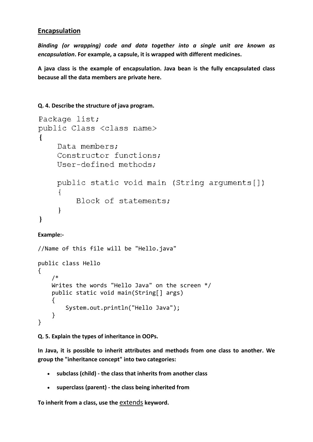## **Encapsulation**

*Binding (or wrapping) code and data together into a single unit are known as encapsulation***. For example, a capsule, it is wrapped with different medicines.**

**A java class is the example of encapsulation. Java bean is the fully encapsulated class because all the data members are private here.**

#### **Q. 4. Describe the structure of java program.**

```
Package list;
public Class <class name>
    Data members;
    Constructor functions;
    User-defined methods:
    public static void main (String arguments[])
    \{Block of statements;
    ł
}
```
#### **Example:-**

```
//Name of this file will be "Hello.java"
public class Hello
{ 
     /* 
     Writes the words "Hello Java" on the screen */
     public static void main(String[] args)
     {
         System.out.println("Hello Java"); 
     }
}
```
**Q. 5. Explain the types of inheritance in OOPs.**

**In Java, it is possible to inherit attributes and methods from one class to another. We group the "inheritance concept" into two categories:**

- **subclass (child) - the class that inherits from another class**
- **superclass (parent) - the class being inherited from**

**To inherit from a class, use the** extends **keyword.**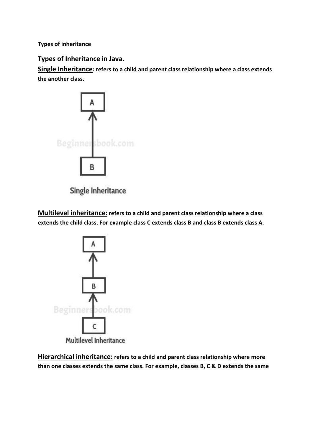**Types of inheritance**

**Types of Inheritance in Java.**

**Single Inheritance: refers to a child and parent class relationship where a class extends the another class.**



**Single Inheritance** 

**Multilevel inheritance: refers to a child and parent class relationship where a class extends the child class. For example class C extends class B and class B extends class A.**



**Hierarchical inheritance: refers to a child and parent class relationship where more than one classes extends the same class. For example, classes B, C & D extends the same**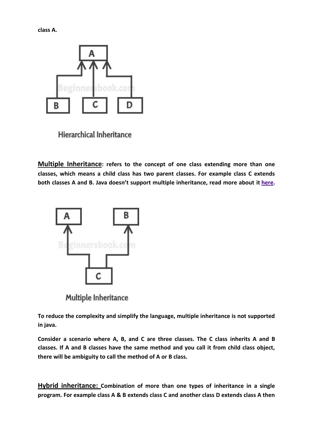**class A.**



**Hierarchical Inheritance** 

**Multiple Inheritance: refers to the concept of one class extending more than one classes, which means a child class has two parent classes. For example class C extends both classes A and B. Java doesn't support multiple inheritance, read more about it [here.](https://beginnersbook.com/2013/05/java-multiple-inheritance/)**



Multiple Inheritance

**To reduce the complexity and simplify the language, multiple inheritance is not supported in java.**

**Consider a scenario where A, B, and C are three classes. The C class inherits A and B classes. If A and B classes have the same method and you call it from child class object, there will be ambiguity to call the method of A or B class.**

**Hybrid inheritance: Combination of more than one types of inheritance in a single program. For example class A & B extends class C and another class D extends class A then**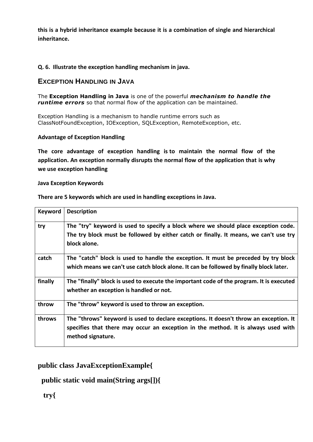**this is a hybrid inheritance example because it is a combination of single and hierarchical inheritance.**

#### **Q. 6. Illustrate the exception handling mechanism in java.**

#### **EXCEPTION HANDLING IN JAVA**

The **Exception Handling in Java** is one of the powerful *mechanism to handle the runtime errors* so that normal flow of the application can be maintained.

Exception Handling is a mechanism to handle runtime errors such as ClassNotFoundException, IOException, SQLException, RemoteException, etc.

#### **Advantage of Exception Handling**

**The core advantage of exception handling is to maintain the normal flow of the application. An exception normally disrupts the normal flow of the application that is why we use exception handling**

#### **Java Exception Keywords**

| <b>Keyword</b> | <b>Description</b>                                                                       |
|----------------|------------------------------------------------------------------------------------------|
| try            | The "try" keyword is used to specify a block where we should place exception code.       |
|                | The try block must be followed by either catch or finally. It means, we can't use try    |
|                | block alone.                                                                             |
| catch          | The "catch" block is used to handle the exception. It must be preceded by try block      |
|                | which means we can't use catch block alone. It can be followed by finally block later.   |
| finally        | The "finally" block is used to execute the important code of the program. It is executed |
|                | whether an exception is handled or not.                                                  |
| throw          | The "throw" keyword is used to throw an exception.                                       |
| throws         | The "throws" keyword is used to declare exceptions. It doesn't throw an exception. It    |
|                | specifies that there may occur an exception in the method. It is always used with        |
|                | method signature.                                                                        |

**There are 5 keywords which are used in handling exceptions in Java.**

### **public class JavaExceptionExample{**

# **public static void main(String args[]){**

 **try{**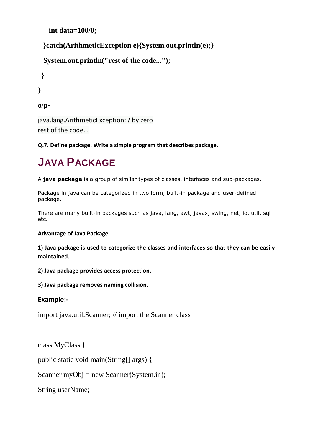```
 int data=100/0;
```

```
 }catch(ArithmeticException e){System.out.println(e);}
```

```
 System.out.println("rest of the code...");
```
 **}**

**}**

```
o/p-
```
java.lang.ArithmeticException: / by zero rest of the code...

**Q.7. Define package. Write a simple program that describes package.**

# **JAVA PACKAGE**

A **java package** is a group of similar types of classes, interfaces and sub-packages.

Package in java can be categorized in two form, built-in package and user-defined package.

There are many built-in packages such as java, lang, awt, javax, swing, net, io, util, sql etc.

# **Advantage of Java Package**

**1) Java package is used to categorize the classes and interfaces so that they can be easily maintained.**

**2) Java package provides access protection.**

**3) Java package removes naming collision.**

# **Example:-**

import java.util.Scanner; // import the Scanner class

class MyClass {

public static void main(String[] args) {

Scanner myObj = new Scanner(System.in);

String userName;